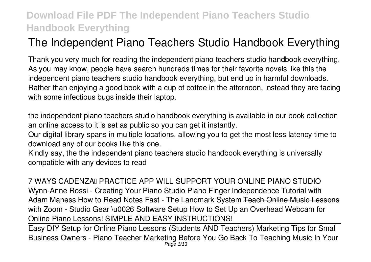# **The Independent Piano Teachers Studio Handbook Everything**

Thank you very much for reading **the independent piano teachers studio handbook everything**. As you may know, people have search hundreds times for their favorite novels like this the independent piano teachers studio handbook everything, but end up in harmful downloads. Rather than enjoying a good book with a cup of coffee in the afternoon, instead they are facing with some infectious bugs inside their laptop.

the independent piano teachers studio handbook everything is available in our book collection an online access to it is set as public so you can get it instantly.

Our digital library spans in multiple locations, allowing you to get the most less latency time to download any of our books like this one.

Kindly say, the the independent piano teachers studio handbook everything is universally compatible with any devices to read

*7 WAYS CADENZA™ PRACTICE APP WILL SUPPORT YOUR ONLINE PIANO STUDIO Wynn-Anne Rossi - Creating Your Piano Studio* Piano Finger Independence Tutorial with Adam Maness How to Read Notes Fast - The Landmark System Teach Online Music Lessons with Zoom - Studio Gear \u0026 Software Setup **How to Set Up an Overhead Webcam for Online Piano Lessons! SIMPLE AND EASY INSTRUCTIONS!**

Easy DIY Setup for Online Piano Lessons (Students AND Teachers) Marketing Tips for Small Business Owners - Piano Teacher Marketing Before You Go Back To Teaching Music In Your Page 1/13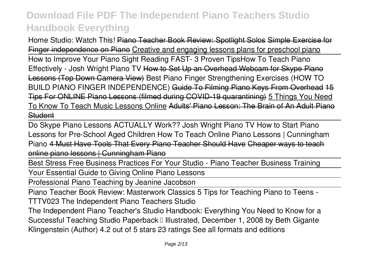Home Studio: Watch This! Piano Teacher Book Review: Spotlight Solos Simple Exercise for Finger independence on Piano Creative and engaging lessons plans for preschool piano How to Improve Your Piano Sight Reading FAST- 3 Proven Tips*How To Teach Piano Effectively - Josh Wright Piano TV* How to Set Up an Overhead Webcam for Skype Piano Lessons (Top Down Camera View) Best Piano Finger Strengthening Exercises (HOW TO BUILD PIANO FINGER INDEPENDENCE) Guide To Filming Piano Keys From Overhead 15 Tips For ONLINE Piano Lessons (filmed during COVID-19 quarantining) 5 Things You Need To Know To Teach Music Lessons Online Adults' Piano Lesson: The Brain of An Adult Piano Student

Do Skype Piano Lessons ACTUALLY Work?? Josh Wright Piano TV How to Start Piano Lessons for Pre-School Aged Children How To Teach Online Piano Lessons | Cunningham Piano 4 Must Have Tools That Every Piano Teacher Should Have Cheaper ways to teach online piano lessons | Cunningham Piano

Best Stress Free Business Practices For Your Studio - Piano Teacher Business Training

Your Essential Guide to Giving Online Piano Lessons

Professional Piano Teaching by Jeanine Jacobson

Piano Teacher Book Review: Masterwork Classics 5 Tips for Teaching Piano to Teens - TTTV023 *The Independent Piano Teachers Studio*

The Independent Piano Teacher's Studio Handbook: Everything You Need to Know for a Successful Teaching Studio Paperback II Illustrated, December 1, 2008 by Beth Gigante Klingenstein (Author) 4.2 out of 5 stars 23 ratings See all formats and editions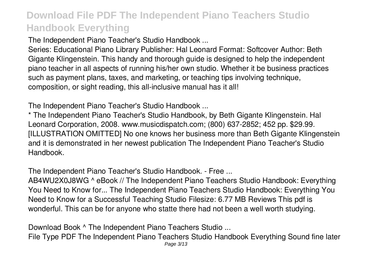*The Independent Piano Teacher's Studio Handbook ...*

Series: Educational Piano Library Publisher: Hal Leonard Format: Softcover Author: Beth Gigante Klingenstein. This handy and thorough guide is designed to help the independent piano teacher in all aspects of running his/her own studio. Whether it be business practices such as payment plans, taxes, and marketing, or teaching tips involving technique, composition, or sight reading, this all-inclusive manual has it all!

*The Independent Piano Teacher's Studio Handbook ...*

\* The Independent Piano Teacher's Studio Handbook, by Beth Gigante Klingenstein. Hal Leonard Corporation, 2008. www.musicdispatch.com; (800) 637-2852; 452 pp. \$29.99. [ILLUSTRATION OMITTED] No one knows her business more than Beth Gigante Klingenstein and it is demonstrated in her newest publication The Independent Piano Teacher's Studio Handbook.

*The Independent Piano Teacher's Studio Handbook. - Free ...*

AB4WU2X0J8WG ^ eBook // The Independent Piano Teachers Studio Handbook: Everything You Need to Know for... The Independent Piano Teachers Studio Handbook: Everything You Need to Know for a Successful Teaching Studio Filesize: 6.77 MB Reviews This pdf is wonderful. This can be for anyone who statte there had not been a well worth studying.

*Download Book ^ The Independent Piano Teachers Studio ...*

File Type PDF The Independent Piano Teachers Studio Handbook Everything Sound fine later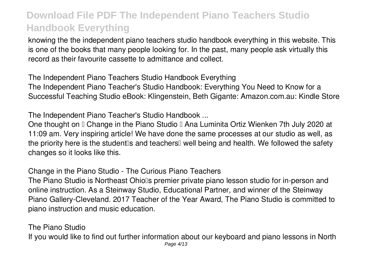knowing the the independent piano teachers studio handbook everything in this website. This is one of the books that many people looking for. In the past, many people ask virtually this record as their favourite cassette to admittance and collect.

*The Independent Piano Teachers Studio Handbook Everything* The Independent Piano Teacher's Studio Handbook: Everything You Need to Know for a Successful Teaching Studio eBook: Klingenstein, Beth Gigante: Amazon.com.au: Kindle Store

*The Independent Piano Teacher's Studio Handbook ...*

One thought on I Change in the Piano Studio I Ana Luminita Ortiz Wienken 7th July 2020 at 11:09 am. Very inspiring article! We have done the same processes at our studio as well, as the priority here is the student is and teachers well being and health. We followed the safety changes so it looks like this.

*Change in the Piano Studio - The Curious Piano Teachers*

The Piano Studio is Northeast Ohio<sup>'</sup>s premier private piano lesson studio for in-person and online instruction. As a Steinway Studio, Educational Partner, and winner of the Steinway Piano Gallery-Cleveland. 2017 Teacher of the Year Award, The Piano Studio is committed to piano instruction and music education.

*The Piano Studio*

If you would like to find out further information about our keyboard and piano lessons in North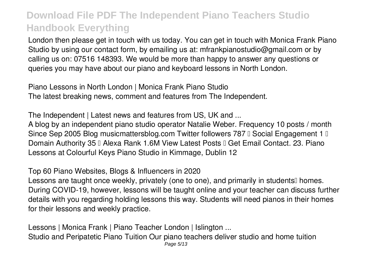London then please get in touch with us today. You can get in touch with Monica Frank Piano Studio by using our contact form, by emailing us at: mfrankpianostudio@gmail.com or by calling us on: 07516 148393. We would be more than happy to answer any questions or queries you may have about our piano and keyboard lessons in North London.

*Piano Lessons in North London | Monica Frank Piano Studio* The latest breaking news, comment and features from The Independent.

*The Independent | Latest news and features from US, UK and ...*

A blog by an independent piano studio operator Natalie Weber. Frequency 10 posts / month Since Sep 2005 Blog musicmattersblog.com Twitter followers 787 □ Social Engagement 1 □ Domain Authority 35 L Alexa Rank 1.6M View Latest Posts L Get Email Contact. 23. Piano Lessons at Colourful Keys Piano Studio in Kimmage, Dublin 12

*Top 60 Piano Websites, Blogs & Influencers in 2020*

Lessons are taught once weekly, privately (one to one), and primarily in students<sup>[]</sup> homes. During COVID-19, however, lessons will be taught online and your teacher can discuss further details with you regarding holding lessons this way. Students will need pianos in their homes for their lessons and weekly practice.

*Lessons | Monica Frank | Piano Teacher London | Islington ...* Studio and Peripatetic Piano Tuition Our piano teachers deliver studio and home tuition Page 5/13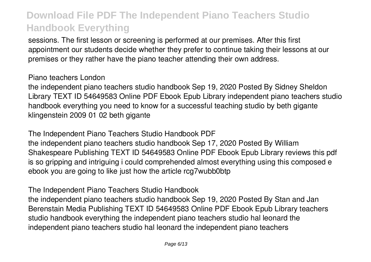sessions. The first lesson or screening is performed at our premises. After this first appointment our students decide whether they prefer to continue taking their lessons at our premises or they rather have the piano teacher attending their own address.

#### *Piano teachers London*

the independent piano teachers studio handbook Sep 19, 2020 Posted By Sidney Sheldon Library TEXT ID 54649583 Online PDF Ebook Epub Library independent piano teachers studio handbook everything you need to know for a successful teaching studio by beth gigante klingenstein 2009 01 02 beth gigante

*The Independent Piano Teachers Studio Handbook PDF* the independent piano teachers studio handbook Sep 17, 2020 Posted By William Shakespeare Publishing TEXT ID 54649583 Online PDF Ebook Epub Library reviews this pdf is so gripping and intriguing i could comprehended almost everything using this composed e ebook you are going to like just how the article rcg7wubb0btp

*The Independent Piano Teachers Studio Handbook*

the independent piano teachers studio handbook Sep 19, 2020 Posted By Stan and Jan Berenstain Media Publishing TEXT ID 54649583 Online PDF Ebook Epub Library teachers studio handbook everything the independent piano teachers studio hal leonard the independent piano teachers studio hal leonard the independent piano teachers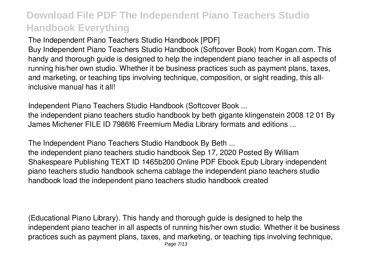*The Independent Piano Teachers Studio Handbook [PDF]*

Buy Independent Piano Teachers Studio Handbook (Softcover Book) from Kogan.com. This handy and thorough guide is designed to help the independent piano teacher in all aspects of running his/her own studio. Whether it be business practices such as payment plans, taxes, and marketing, or teaching tips involving technique, composition, or sight reading, this allinclusive manual has it all!

*Independent Piano Teachers Studio Handbook (Softcover Book ...*

the independent piano teachers studio handbook by beth gigante klingenstein 2008 12 01 By James Michener FILE ID 7986f6 Freemium Media Library formats and editions ...

*The Independent Piano Teachers Studio Handbook By Beth ...*

the independent piano teachers studio handbook Sep 17, 2020 Posted By William Shakespeare Publishing TEXT ID 1465b200 Online PDF Ebook Epub Library independent piano teachers studio handbook schema cablage the independent piano teachers studio handbook load the independent piano teachers studio handbook created

(Educational Piano Library). This handy and thorough guide is designed to help the independent piano teacher in all aspects of running his/her own studio. Whether it be business practices such as payment plans, taxes, and marketing, or teaching tips involving technique,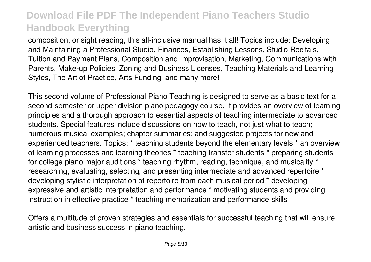composition, or sight reading, this all-inclusive manual has it all! Topics include: Developing and Maintaining a Professional Studio, Finances, Establishing Lessons, Studio Recitals, Tuition and Payment Plans, Composition and Improvisation, Marketing, Communications with Parents, Make-up Policies, Zoning and Business Licenses, Teaching Materials and Learning Styles, The Art of Practice, Arts Funding, and many more!

This second volume of Professional Piano Teaching is designed to serve as a basic text for a second-semester or upper-division piano pedagogy course. It provides an overview of learning principles and a thorough approach to essential aspects of teaching intermediate to advanced students. Special features include discussions on how to teach, not just what to teach; numerous musical examples; chapter summaries; and suggested projects for new and experienced teachers. Topics: \* teaching students beyond the elementary levels \* an overview of learning processes and learning theories \* teaching transfer students \* preparing students for college piano major auditions \* teaching rhythm, reading, technique, and musicality \* researching, evaluating, selecting, and presenting intermediate and advanced repertoire \* developing stylistic interpretation of repertoire from each musical period \* developing expressive and artistic interpretation and performance \* motivating students and providing instruction in effective practice \* teaching memorization and performance skills

Offers a multitude of proven strategies and essentials for successful teaching that will ensure artistic and business success in piano teaching.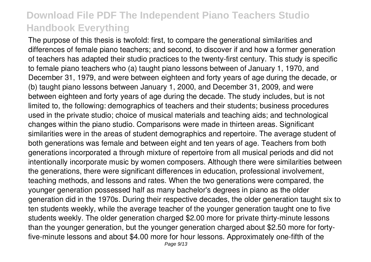The purpose of this thesis is twofold: first, to compare the generational similarities and differences of female piano teachers; and second, to discover if and how a former generation of teachers has adapted their studio practices to the twenty-first century. This study is specific to female piano teachers who (a) taught piano lessons between of January 1, 1970, and December 31, 1979, and were between eighteen and forty years of age during the decade, or (b) taught piano lessons between January 1, 2000, and December 31, 2009, and were between eighteen and forty years of age during the decade. The study includes, but is not limited to, the following: demographics of teachers and their students; business procedures used in the private studio; choice of musical materials and teaching aids; and technological changes within the piano studio. Comparisons were made in thirteen areas. Significant similarities were in the areas of student demographics and repertoire. The average student of both generations was female and between eight and ten years of age. Teachers from both generations incorporated a through mixture of repertoire from all musical periods and did not intentionally incorporate music by women composers. Although there were similarities between the generations, there were significant differences in education, professional involvement, teaching methods, and lessons and rates. When the two generations were compared, the younger generation possessed half as many bachelor's degrees in piano as the older generation did in the 1970s. During their respective decades, the older generation taught six to ten students weekly, while the average teacher of the younger generation taught one to five students weekly. The older generation charged \$2.00 more for private thirty-minute lessons than the younger generation, but the younger generation charged about \$2.50 more for fortyfive-minute lessons and about \$4.00 more for hour lessons. Approximately one-fifth of the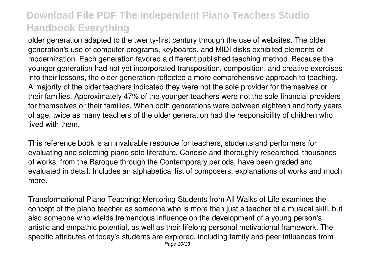older generation adapted to the twenty-first century through the use of websites. The older generation's use of computer programs, keyboards, and MIDI disks exhibited elements of modernization. Each generation favored a different published teaching method. Because the younger generation had not yet incorporated transposition, composition, and creative exercises into their lessons, the older generation reflected a more comprehensive approach to teaching. A majority of the older teachers indicated they were not the sole provider for themselves or their families. Approximately 47% of the younger teachers were not the sole financial providers for themselves or their families. When both generations were between eighteen and forty years of age, twice as many teachers of the older generation had the responsibility of children who lived with them.

This reference book is an invaluable resource for teachers, students and performers for evaluating and selecting piano solo literature. Concise and thoroughly researched, thousands of works, from the Baroque through the Contemporary periods, have been graded and evaluated in detail. Includes an alphabetical list of composers, explanations of works and much more.

Transformational Piano Teaching: Mentoring Students from All Walks of Life examines the concept of the piano teacher as someone who is more than just a teacher of a musical skill, but also someone who wields tremendous influence on the development of a young person's artistic and empathic potential, as well as their lifelong personal motivational framework. The specific attributes of today's students are explored, including family and peer influences from Page 10/13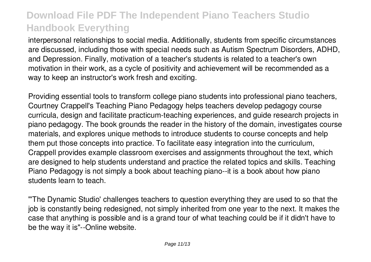interpersonal relationships to social media. Additionally, students from specific circumstances are discussed, including those with special needs such as Autism Spectrum Disorders, ADHD, and Depression. Finally, motivation of a teacher's students is related to a teacher's own motivation in their work, as a cycle of positivity and achievement will be recommended as a way to keep an instructor's work fresh and exciting.

Providing essential tools to transform college piano students into professional piano teachers, Courtney Crappell's Teaching Piano Pedagogy helps teachers develop pedagogy course curricula, design and facilitate practicum-teaching experiences, and guide research projects in piano pedagogy. The book grounds the reader in the history of the domain, investigates course materials, and explores unique methods to introduce students to course concepts and help them put those concepts into practice. To facilitate easy integration into the curriculum, Crappell provides example classroom exercises and assignments throughout the text, which are designed to help students understand and practice the related topics and skills. Teaching Piano Pedagogy is not simply a book about teaching piano--it is a book about how piano students learn to teach.

"'The Dynamic Studio' challenges teachers to question everything they are used to so that the job is constantly being redesigned, not simply inherited from one year to the next. It makes the case that anything is possible and is a grand tour of what teaching could be if it didn't have to be the way it is"--Online website.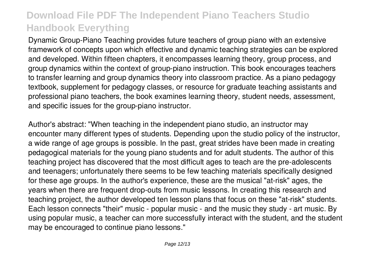Dynamic Group-Piano Teaching provides future teachers of group piano with an extensive framework of concepts upon which effective and dynamic teaching strategies can be explored and developed. Within fifteen chapters, it encompasses learning theory, group process, and group dynamics within the context of group-piano instruction. This book encourages teachers to transfer learning and group dynamics theory into classroom practice. As a piano pedagogy textbook, supplement for pedagogy classes, or resource for graduate teaching assistants and professional piano teachers, the book examines learning theory, student needs, assessment, and specific issues for the group-piano instructor.

Author's abstract: "When teaching in the independent piano studio, an instructor may encounter many different types of students. Depending upon the studio policy of the instructor, a wide range of age groups is possible. In the past, great strides have been made in creating pedagogical materials for the young piano students and for adult students. The author of this teaching project has discovered that the most difficult ages to teach are the pre-adolescents and teenagers; unfortunately there seems to be few teaching materials specifically designed for these age groups. In the author's experience, these are the musical "at-risk" ages, the years when there are frequent drop-outs from music lessons. In creating this research and teaching project, the author developed ten lesson plans that focus on these "at-risk" students. Each lesson connects "their" music - popular music - and the music they study - art music. By using popular music, a teacher can more successfully interact with the student, and the student may be encouraged to continue piano lessons."